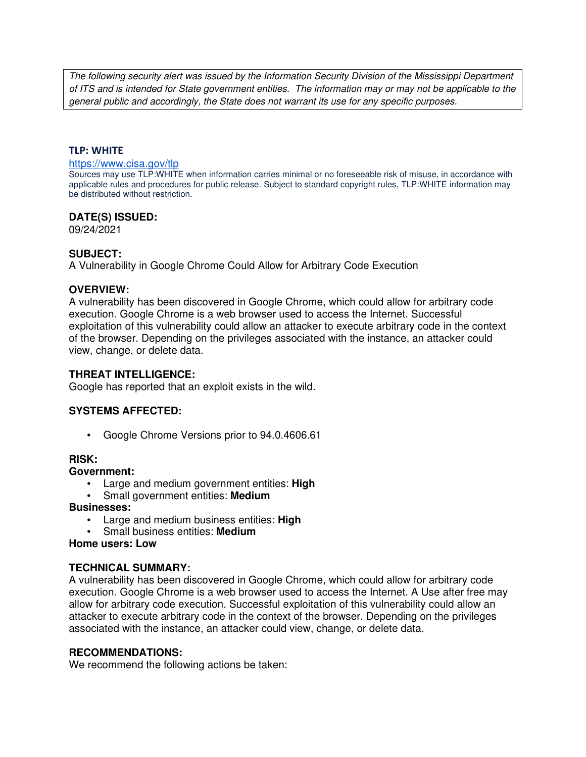The following security alert was issued by the Information Security Division of the Mississippi Department of ITS and is intended for State government entities. The information may or may not be applicable to the general public and accordingly, the State does not warrant its use for any specific purposes.

### **TLP: WHITE**

#### https://www.cisa.gov/tlp

Sources may use TLP:WHITE when information carries minimal or no foreseeable risk of misuse, in accordance with applicable rules and procedures for public release. Subject to standard copyright rules, TLP:WHITE information may be distributed without restriction.

### **DATE(S) ISSUED:**

09/24/2021

### **SUBJECT:**

A Vulnerability in Google Chrome Could Allow for Arbitrary Code Execution

#### **OVERVIEW:**

A vulnerability has been discovered in Google Chrome, which could allow for arbitrary code execution. Google Chrome is a web browser used to access the Internet. Successful exploitation of this vulnerability could allow an attacker to execute arbitrary code in the context of the browser. Depending on the privileges associated with the instance, an attacker could view, change, or delete data.

# **THREAT INTELLIGENCE:**

Google has reported that an exploit exists in the wild.

# **SYSTEMS AFFECTED:**

• Google Chrome Versions prior to 94.0.4606.61

#### **RISK:**

**Government:**

- Large and medium government entities: **High**
- Small government entities: **Medium**

#### **Businesses:**

- Large and medium business entities: **High**
- Small business entities: **Medium**

**Home users: Low**

# **TECHNICAL SUMMARY:**

A vulnerability has been discovered in Google Chrome, which could allow for arbitrary code execution. Google Chrome is a web browser used to access the Internet. A Use after free may allow for arbitrary code execution. Successful exploitation of this vulnerability could allow an attacker to execute arbitrary code in the context of the browser. Depending on the privileges associated with the instance, an attacker could view, change, or delete data.

#### **RECOMMENDATIONS:**

We recommend the following actions be taken: